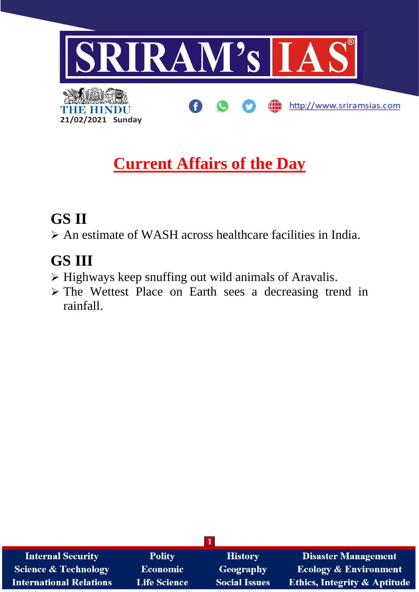

# **Current Affairs of the Day**

## **GS II**

➢ An estimate of WASH across healthcare facilities in India.

## **GS III**

- ➢ Highways keep snuffing out wild animals of Aravalis.
- ➢ The Wettest Place on Earth sees a decreasing trend in rainfall.

| <b>Internal Security</b>        | <b>Polity</b>       | <b>History</b>       | <b>Disaster Management</b>              |
|---------------------------------|---------------------|----------------------|-----------------------------------------|
| <b>Science &amp; Technology</b> | Economic            | <b>Geography</b>     | <b>Ecology &amp; Environment</b>        |
| <b>International Relations</b>  | <b>Life Science</b> | <b>Social Issues</b> | <b>Ethics, Integrity &amp; Aptitude</b> |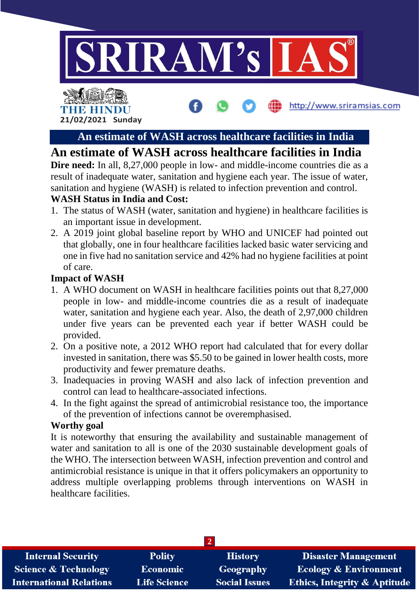



**An estimate of WASH across healthcare facilities in India**

http://www.sriramsias.com

## **An estimate of WASH across healthcare facilities in India**

**Dire need:** In all, 8,27,000 people in low- and middle-income countries die as a result of inadequate water, sanitation and hygiene each year. The issue of water, sanitation and hygiene (WASH) is related to infection prevention and control.

### **WASH Status in India and Cost:**

- 1. The status of WASH (water, sanitation and hygiene) in healthcare facilities is an important issue in development.
- 2. A 2019 joint global baseline report by WHO and UNICEF had pointed out that globally, one in four healthcare facilities lacked basic water servicing and one in five had no sanitation service and 42% had no hygiene facilities at point of care.

### **Impact of WASH**

- 1. A WHO document on WASH in healthcare facilities points out that 8,27,000 people in low- and middle-income countries die as a result of inadequate water, sanitation and hygiene each year. Also, the death of 2,97,000 children under five years can be prevented each year if better WASH could be provided.
- 2. On a positive note, a 2012 WHO report had calculated that for every dollar invested in sanitation, there was \$5.50 to be gained in lower health costs, more productivity and fewer premature deaths.
- 3. Inadequacies in proving WASH and also lack of infection prevention and control can lead to healthcare-associated infections.
- 4. In the fight against the spread of antimicrobial resistance too, the importance of the prevention of infections cannot be overemphasised.

#### **Worthy goal**

It is noteworthy that ensuring the availability and sustainable management of water and sanitation to all is one of the 2030 sustainable development goals of the WHO. The intersection between WASH, infection prevention and control and antimicrobial resistance is unique in that it offers policymakers an opportunity to address multiple overlapping problems through interventions on WASH in healthcare facilities.

| <b>Internal Security</b>        | <b>Polity</b>       | <b>History</b>       | <b>Disaster Management</b>              |  |  |  |
|---------------------------------|---------------------|----------------------|-----------------------------------------|--|--|--|
| <b>Science &amp; Technology</b> | <b>Economic</b>     | <b>Geography</b>     | <b>Ecology &amp; Environment</b>        |  |  |  |
| <b>International Relations</b>  | <b>Life Science</b> | <b>Social Issues</b> | <b>Ethics, Integrity &amp; Aptitude</b> |  |  |  |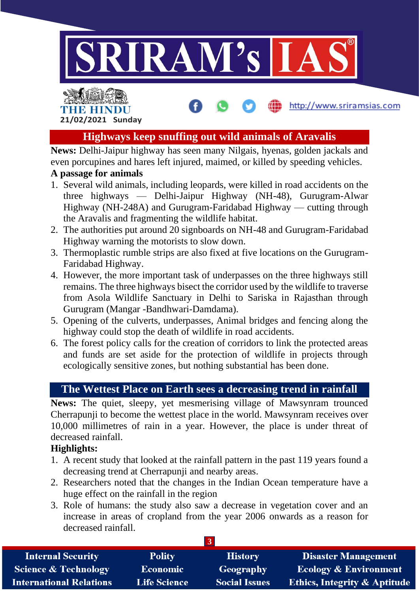

## THE HINDU **21/02/2021 Sunday**

## **Highways keep snuffing out wild animals of Aravalis**

http://www.sriramsias.com

**News:** Delhi-Jaipur highway has seen many Nilgais, hyenas, golden jackals and even porcupines and hares left injured, maimed, or killed by speeding vehicles.

#### **A passage for animals**

- 1. Several wild animals, including leopards, were killed in road accidents on the three highways — Delhi-Jaipur Highway (NH-48), Gurugram-Alwar Highway (NH-248A) and Gurugram-Faridabad Highway — cutting through the Aravalis and fragmenting the wildlife habitat.
- 2. The authorities put around 20 signboards on NH-48 and Gurugram-Faridabad Highway warning the motorists to slow down.
- 3. Thermoplastic rumble strips are also fixed at five locations on the Gurugram-Faridabad Highway.
- 4. However, the more important task of underpasses on the three highways still remains. The three highways bisect the corridor used by the wildlife to traverse from Asola Wildlife Sanctuary in Delhi to Sariska in Rajasthan through Gurugram (Mangar -Bandhwari-Damdama).
- 5. Opening of the culverts, underpasses, Animal bridges and fencing along the highway could stop the death of wildlife in road accidents.
- 6. The forest policy calls for the creation of corridors to link the protected areas and funds are set aside for the protection of wildlife in projects through ecologically sensitive zones, but nothing substantial has been done.

## **The Wettest Place on Earth sees a decreasing trend in rainfall**

**News:** The quiet, sleepy, yet mesmerising village of Mawsynram trounced Cherrapunji to become the wettest place in the world. Mawsynram receives over 10,000 millimetres of rain in a year. However, the place is under threat of decreased rainfall.

### **Highlights:**

- 1. A recent study that looked at the rainfall pattern in the past 119 years found a decreasing trend at Cherrapunji and nearby areas.
- 2. Researchers noted that the changes in the Indian Ocean temperature have a huge effect on the rainfall in the region
- 3. Role of humans: the study also saw a decrease in vegetation cover and an increase in areas of cropland from the year 2006 onwards as a reason for decreased rainfall.

| <b>Internal Security</b>        | <b>Polity</b>       | <b>History</b>       | <b>Disaster Management</b>              |
|---------------------------------|---------------------|----------------------|-----------------------------------------|
| <b>Science &amp; Technology</b> | <b>Economic</b>     | <b>Geography</b>     | <b>Ecology &amp; Environment</b>        |
| <b>International Relations</b>  | <b>Life Science</b> | <b>Social Issues</b> | <b>Ethics, Integrity &amp; Aptitude</b> |